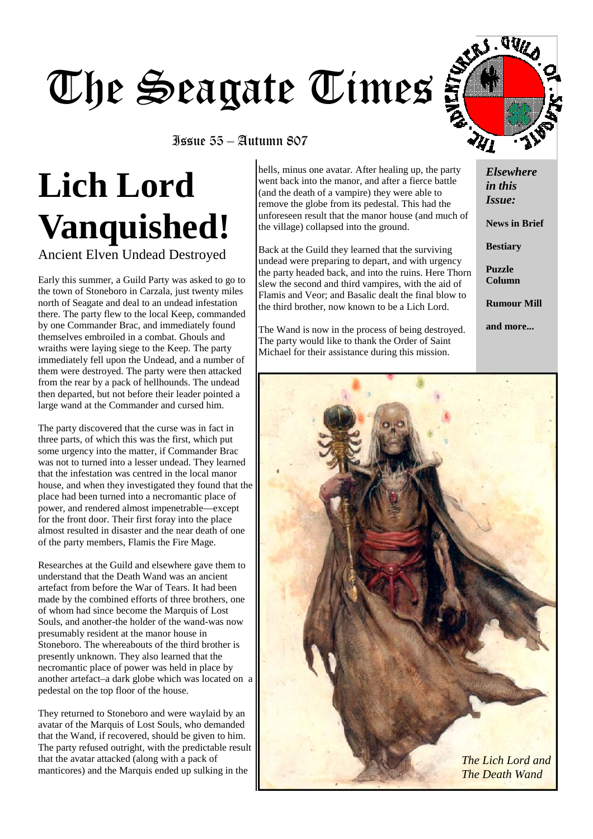# The Seagate Times

## Issue 55 – Autumn 807

# **Lich Lord Vanquished!**

Ancient Elven Undead Destroyed

Early this summer, a Guild Party was asked to go to the town of Stoneboro in Carzala, just twenty miles north of Seagate and deal to an undead infestation there. The party flew to the local Keep, commanded by one Commander Brac, and immediately found themselves embroiled in a combat. Ghouls and wraiths were laying siege to the Keep. The party immediately fell upon the Undead, and a number of them were destroyed. The party were then attacked from the rear by a pack of hellhounds. The undead then departed, but not before their leader pointed a large wand at the Commander and cursed him.

The party discovered that the curse was in fact in three parts, of which this was the first, which put some urgency into the matter, if Commander Brac was not to turned into a lesser undead. They learned that the infestation was centred in the local manor house, and when they investigated they found that the place had been turned into a necromantic place of power, and rendered almost impenetrable—except for the front door. Their first foray into the place almost resulted in disaster and the near death of one of the party members, Flamis the Fire Mage.

Researches at the Guild and elsewhere gave them to understand that the Death Wand was an ancient artefact from before the War of Tears. It had been made by the combined efforts of three brothers, one of whom had since become the Marquis of Lost Souls, and another-the holder of the wand-was now presumably resident at the manor house in Stoneboro. The whereabouts of the third brother is presently unknown. They also learned that the necromantic place of power was held in place by another artefact–a dark globe which was located on a pedestal on the top floor of the house.

They returned to Stoneboro and were waylaid by an avatar of the Marquis of Lost Souls, who demanded that the Wand, if recovered, should be given to him. The party refused outright, with the predictable result that the avatar attacked (along with a pack of manticores) and the Marquis ended up sulking in the

hells, minus one avatar. After healing up, the party went back into the manor, and after a fierce battle (and the death of a vampire) they were able to remove the globe from its pedestal. This had the unforeseen result that the manor house (and much of the village) collapsed into the ground.

Back at the Guild they learned that the surviving undead were preparing to depart, and with urgency the party headed back, and into the ruins. Here Thorn slew the second and third vampires, with the aid of Flamis and Veor; and Basalic dealt the final blow to the third brother, now known to be a Lich Lord.

The Wand is now in the process of being destroyed. The party would like to thank the Order of Saint Michael for their assistance during this mission.



awa

**News in Brief** 

**Bestiary** 

**Puzzle Column** 

**Rumour Mill** 

**and more...** 

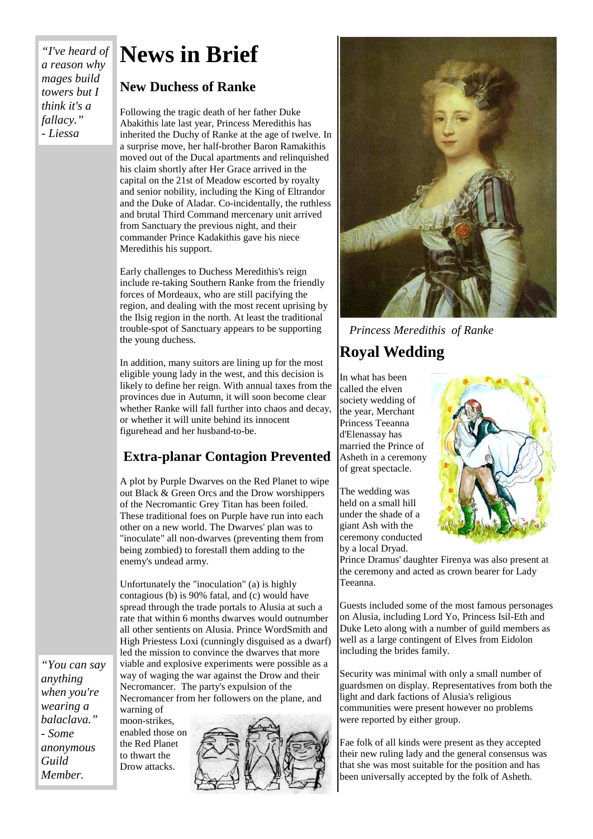## *"I've heard of a reason why mages build towers but I think it's a fallacy." - Liessa*

# **News in Brief**

## **New Duchess of Ranke**

Following the tragic death of her father Duke Abakithis late last year, Princess Meredithis has inherited the Duchy of Ranke at the age of twelve. In a surprise move, her half-brother Baron Ramakithis moved out of the Ducal apartments and relinquished his claim shortly after Her Grace arrived in the capital on the 21st of Meadow escorted by royalty and senior nobility, including the King of Eltrandor and the Duke of Aladar. Co-incidentally, the ruthless and brutal Third Command mercenary unit arrived from Sanctuary the previous night, and their commander Prince Kadakithis gave his niece Meredithis his support.

Early challenges to Duchess Meredithis's reign include re-taking Southern Ranke from the friendly forces of Mordeaux, who are still pacifying the region, and dealing with the most recent uprising by the Ilsig region in the north. At least the traditional trouble-spot of Sanctuary appears to be supporting the young duchess.

In addition, many suitors are lining up for the most eligible young lady in the west, and this decision is likely to define her reign. With annual taxes from the provinces due in Autumn, it will soon become clear whether Ranke will fall further into chaos and decay, or whether it will unite behind its innocent figurehead and her husband-to-be.

## **Extra-planar Contagion Prevented**

A plot by Purple Dwarves on the Red Planet to wipe out Black & Green Orcs and the Drow worshippers of the Necromantic Grey Titan has been foiled. These traditional foes on Purple have run into each other on a new world. The Dwarves' plan was to "inoculate" all non-dwarves (preventing them from being zombied) to forestall them adding to the enemy's undead army.

Unfortunately the "inoculation" (a) is highly contagious (b) is 90% fatal, and (c) would have spread through the trade portals to Alusia at such a rate that within 6 months dwarves would outnumber all other sentients on Alusia. Prince WordSmith and High Priestess Loxi (cunningly disguised as a dwarf) led the mission to convince the dwarves that more viable and explosive experiments were possible as a way of waging the war against the Drow and their Necromancer. The party's expulsion of the Necromancer from her followers on the plane, and

*"You can say anything when you're wearing a balaclava." - Some anonymous Guild Member.*

warning of moon-strikes, enabled those on the Red Planet to thwart the Drow attacks.





*Princess Meredithis of Ranke* 

## **Royal Wedding**

In what has been called the elven society wedding of the year, Merchant Princess Teeanna d'Elenassay has married the Prince of Asheth in a ceremony of great spectacle.

The wedding was held on a small hill under the shade of a giant Ash with the ceremony conducted by a local Dryad.

Prince Dramus' daughter Firenya was also present at the ceremony and acted as crown bearer for Lady Teeanna.

Guests included some of the most famous personages on Alusia, including Lord Yo, Princess Isil-Eth and Duke Leto along with a number of guild members as well as a large contingent of Elves from Eidolon including the brides family.

Security was minimal with only a small number of guardsmen on display. Representatives from both the light and dark factions of Alusia's religious communities were present however no problems were reported by either group.

Fae folk of all kinds were present as they accepted their new ruling lady and the general consensus was that she was most suitable for the position and has been universally accepted by the folk of Asheth.

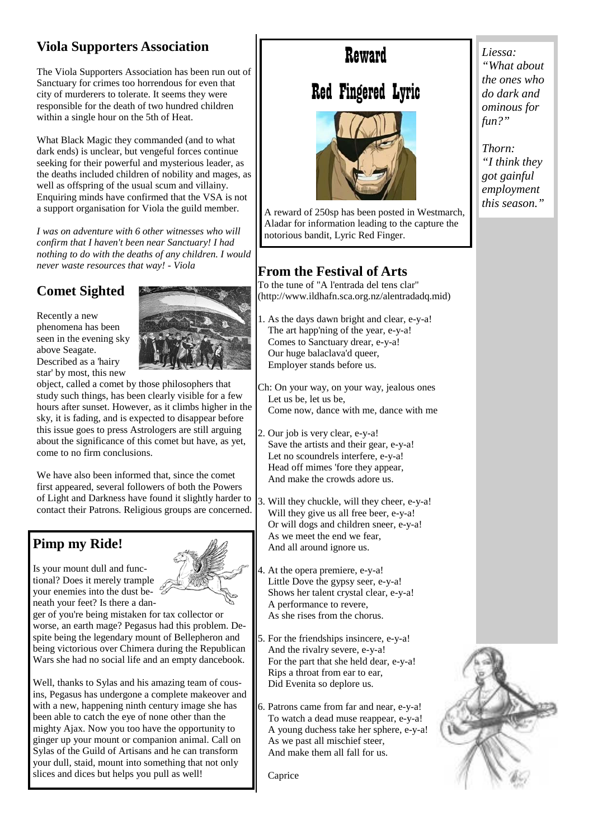## **Viola Supporters Association**

The Viola Supporters Association has been run out of Sanctuary for crimes too horrendous for even that city of murderers to tolerate. It seems they were responsible for the death of two hundred children within a single hour on the 5th of Heat.

What Black Magic they commanded (and to what dark ends) is unclear, but vengeful forces continue seeking for their powerful and mysterious leader, as the deaths included children of nobility and mages, as well as offspring of the usual scum and villainy. Enquiring minds have confirmed that the VSA is not a support organisation for Viola the guild member.

*I was on adventure with 6 other witnesses who will confirm that I haven't been near Sanctuary! I had nothing to do with the deaths of any children. I would never waste resources that way! - Viola* 

## **Comet Sighted**

Recently a new phenomena has been seen in the evening sky above Seagate. Described as a 'hairy star' by most, this new



object, called a comet by those philosophers that study such things, has been clearly visible for a few hours after sunset. However, as it climbs higher in the sky, it is fading, and is expected to disappear before this issue goes to press Astrologers are still arguing about the significance of this comet but have, as yet, come to no firm conclusions.

We have also been informed that, since the comet first appeared, several followers of both the Powers of Light and Darkness have found it slightly harder to contact their Patrons. Religious groups are concerned.

## **Pimp my Ride!**

Is your mount dull and functional? Does it merely trample your enemies into the dust beneath your feet? Is there a dan-

ger of you're being mistaken for tax collector or worse, an earth mage? Pegasus had this problem. Despite being the legendary mount of Bellepheron and being victorious over Chimera during the Republican Wars she had no social life and an empty dancebook.

Well, thanks to Sylas and his amazing team of cousins, Pegasus has undergone a complete makeover and with a new, happening ninth century image she has been able to catch the eye of none other than the mighty Ajax. Now you too have the opportunity to ginger up your mount or companion animal. Call on Sylas of the Guild of Artisans and he can transform your dull, staid, mount into something that not only slices and dices but helps you pull as well!

## Reward

## Red Fingered Lyric



A reward of 250sp has been posted in Westmarch, Aladar for information leading to the capture the notorious bandit, Lyric Red Finger.

## **From the Festival of Arts**

To the tune of "A l'entrada del tens clar" (http://www.ildhafn.sca.org.nz/alentradadq.mid)

- 1. As the days dawn bright and clear, e-y-a! The art happ'ning of the year, e-y-a! Comes to Sanctuary drear, e-y-a! Our huge balaclava'd queer, Employer stands before us.
- Ch: On your way, on your way, jealous ones Let us be, let us be, Come now, dance with me, dance with me
- 2. Our job is very clear, e-y-a! Save the artists and their gear, e-y-a! Let no scoundrels interfere, e-y-a! Head off mimes 'fore they appear, And make the crowds adore us.
- 3. Will they chuckle, will they cheer, e-y-a! Will they give us all free beer, e-y-a! Or will dogs and children sneer, e-y-a! As we meet the end we fear, And all around ignore us.
- At the opera premiere, e-y-a! Little Dove the gypsy seer, e-y-a! Shows her talent crystal clear, e-y-a! A performance to revere, As she rises from the chorus.
- 5. For the friendships insincere, e-y-a! And the rivalry severe, e-y-a! For the part that she held dear, e-y-a! Rips a throat from ear to ear, Did Evenita so deplore us.
- 6. Patrons came from far and near, e-y-a! To watch a dead muse reappear, e-y-a! A young duchess take her sphere, e-y-a! As we past all mischief steer, And make them all fall for us.

Caprice





*Liessa: "What about the ones who do dark and ominous for fun?"* 

*Thorn: "I think they got gainful employment this season."*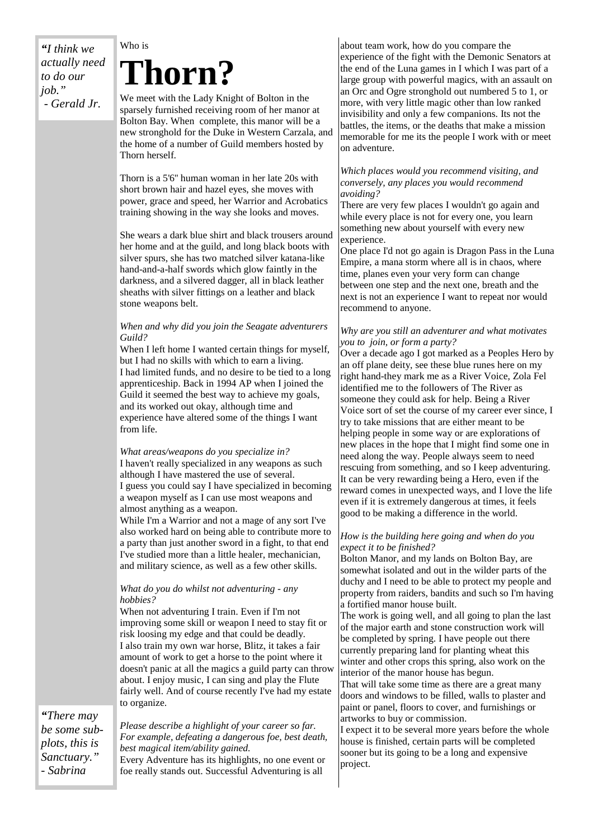*"I think we actually need to do our job." - Gerald Jr.*

## Who is **Thorn?**

We meet with the Lady Knight of Bolton in the sparsely furnished receiving room of her manor at Bolton Bay. When complete, this manor will be a new stronghold for the Duke in Western Carzala, and the home of a number of Guild members hosted by Thorn herself.

Thorn is a 5'6'' human woman in her late 20s with short brown hair and hazel eyes, she moves with power, grace and speed, her Warrior and Acrobatics training showing in the way she looks and moves.

She wears a dark blue shirt and black trousers around her home and at the guild, and long black boots with silver spurs, she has two matched silver katana-like hand-and-a-half swords which glow faintly in the darkness, and a silvered dagger, all in black leather sheaths with silver fittings on a leather and black stone weapons belt.

## *When and why did you join the Seagate adventurers Guild?*

When I left home I wanted certain things for myself, but I had no skills with which to earn a living. I had limited funds, and no desire to be tied to a long apprenticeship. Back in 1994 AP when I joined the Guild it seemed the best way to achieve my goals, and its worked out okay, although time and experience have altered some of the things I want from life.

#### *What areas/weapons do you specialize in?*  I haven't really specialized in any weapons as such although I have mastered the use of several. I guess you could say I have specialized in becoming a weapon myself as I can use most weapons and almost anything as a weapon.

While I'm a Warrior and not a mage of any sort I've also worked hard on being able to contribute more to a party than just another sword in a fight, to that end I've studied more than a little healer, mechanician, and military science, as well as a few other skills.

## *What do you do whilst not adventuring - any hobbies?*

When not adventuring I train. Even if I'm not improving some skill or weapon I need to stay fit or risk loosing my edge and that could be deadly. I also train my own war horse, Blitz, it takes a fair amount of work to get a horse to the point where it doesn't panic at all the magics a guild party can throw about. I enjoy music, I can sing and play the Flute fairly well. And of course recently I've had my estate to organize.

*"There may be some subplots, this is Sanctuary." - Sabrina*

#### *Please describe a highlight of your career so far. For example, defeating a dangerous foe, best death, best magical item/ability gained.*

Every Adventure has its highlights, no one event or foe really stands out. Successful Adventuring is all

about team work, how do you compare the experience of the fight with the Demonic Senators at the end of the Luna games in I which I was part of a large group with powerful magics, with an assault on an Orc and Ogre stronghold out numbered 5 to 1, or more, with very little magic other than low ranked invisibility and only a few companions. Its not the battles, the items, or the deaths that make a mission memorable for me its the people I work with or meet on adventure.

#### *Which places would you recommend visiting, and conversely, any places you would recommend avoiding?*

There are very few places I wouldn't go again and while every place is not for every one, you learn something new about yourself with every new experience.

One place I'd not go again is Dragon Pass in the Luna Empire, a mana storm where all is in chaos, where time, planes even your very form can change between one step and the next one, breath and the next is not an experience I want to repeat nor would recommend to anyone.

#### *Why are you still an adventurer and what motivates you to join, or form a party?*

Over a decade ago I got marked as a Peoples Hero by an off plane deity, see these blue runes here on my right hand-they mark me as a River Voice, Zola Fel identified me to the followers of The River as someone they could ask for help. Being a River Voice sort of set the course of my career ever since, I try to take missions that are either meant to be helping people in some way or are explorations of new places in the hope that I might find some one in need along the way. People always seem to need rescuing from something, and so I keep adventuring. It can be very rewarding being a Hero, even if the reward comes in unexpected ways, and I love the life even if it is extremely dangerous at times, it feels good to be making a difference in the world.

#### *How is the building here going and when do you expect it to be finished?*

Bolton Manor, and my lands on Bolton Bay, are somewhat isolated and out in the wilder parts of the duchy and I need to be able to protect my people and property from raiders, bandits and such so I'm having a fortified manor house built.

The work is going well, and all going to plan the last of the major earth and stone construction work will be completed by spring. I have people out there currently preparing land for planting wheat this winter and other crops this spring, also work on the interior of the manor house has begun.

That will take some time as there are a great many doors and windows to be filled, walls to plaster and paint or panel, floors to cover, and furnishings or artworks to buy or commission.

I expect it to be several more years before the whole house is finished, certain parts will be completed sooner but its going to be a long and expensive project.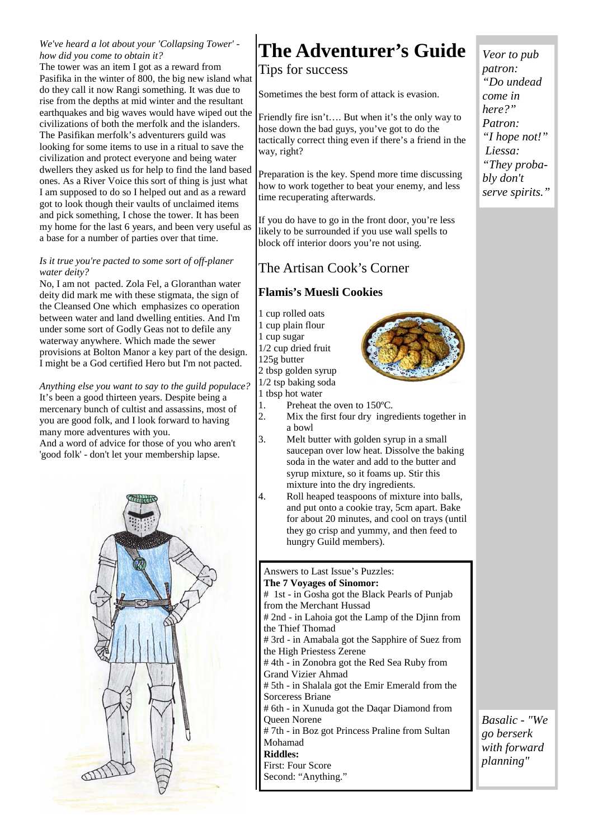## *We've heard a lot about your 'Collapsing Tower' how did you come to obtain it?*

The tower was an item I got as a reward from Pasifika in the winter of 800, the big new island what do they call it now Rangi something. It was due to rise from the depths at mid winter and the resultant earthquakes and big waves would have wiped out the civilizations of both the merfolk and the islanders. The Pasifikan merfolk's adventurers guild was looking for some items to use in a ritual to save the civilization and protect everyone and being water dwellers they asked us for help to find the land based ones. As a River Voice this sort of thing is just what I am supposed to do so I helped out and as a reward got to look though their vaults of unclaimed items and pick something, I chose the tower. It has been my home for the last 6 years, and been very useful as a base for a number of parties over that time.

#### *Is it true you're pacted to some sort of off-planer water deity?*

No, I am not pacted. Zola Fel, a Gloranthan water deity did mark me with these stigmata, the sign of the Cleansed One which emphasizes co operation between water and land dwelling entities. And I'm under some sort of Godly Geas not to defile any waterway anywhere. Which made the sewer provisions at Bolton Manor a key part of the design. I might be a God certified Hero but I'm not pacted.

*Anything else you want to say to the guild populace?*  It's been a good thirteen years. Despite being a mercenary bunch of cultist and assassins, most of you are good folk, and I look forward to having many more adventures with you.

And a word of advice for those of you who aren't 'good folk' - don't let your membership lapse.



# **The Adventurer's Guide**

Tips for success

Sometimes the best form of attack is evasion.

Friendly fire isn't…. But when it's the only way to hose down the bad guys, you've got to do the tactically correct thing even if there's a friend in the way, right?

Preparation is the key. Spend more time discussing how to work together to beat your enemy, and less time recuperating afterwards.

If you do have to go in the front door, you're less likely to be surrounded if you use wall spells to block off interior doors you're not using.

## The Artisan Cook's Corner

## **Flamis's Muesli Cookies**

- 1 cup rolled oats 1 cup plain flour 1 cup sugar 1/2 cup dried fruit 125g butter 2 tbsp golden syrup 1/2 tsp baking soda 1 tbsp hot water
- 1. Preheat the oven to 150ºC.
- 2. Mix the first four dry ingredients together in a bowl
- 3. Melt butter with golden syrup in a small saucepan over low heat. Dissolve the baking soda in the water and add to the butter and syrup mixture, so it foams up. Stir this mixture into the dry ingredients.
- 4. Roll heaped teaspoons of mixture into balls, and put onto a cookie tray, 5cm apart. Bake for about 20 minutes, and cool on trays (until they go crisp and yummy, and then feed to hungry Guild members).

#### Answers to Last Issue's Puzzles: **The 7 Voyages of Sinomor:**  # 1st - in Gosha got the Black Pearls of Punjab from the Merchant Hussad # 2nd - in Lahoia got the Lamp of the Djinn from the Thief Thomad # 3rd - in Amabala got the Sapphire of Suez from the High Priestess Zerene # 4th - in Zonobra got the Red Sea Ruby from Grand Vizier Ahmad # 5th - in Shalala got the Emir Emerald from the Sorceress Briane # 6th - in Xunuda got the Daqar Diamond from Queen Norene # 7th - in Boz got Princess Praline from Sultan Mohamad **Riddles:**  First: Four Score Second: "Anything."

*Veor to pub patron: "Do undead come in here?" Patron: "I hope not!" Liessa: "They probably don't serve spirits."*

*Basalic - "We go berserk with forward planning"*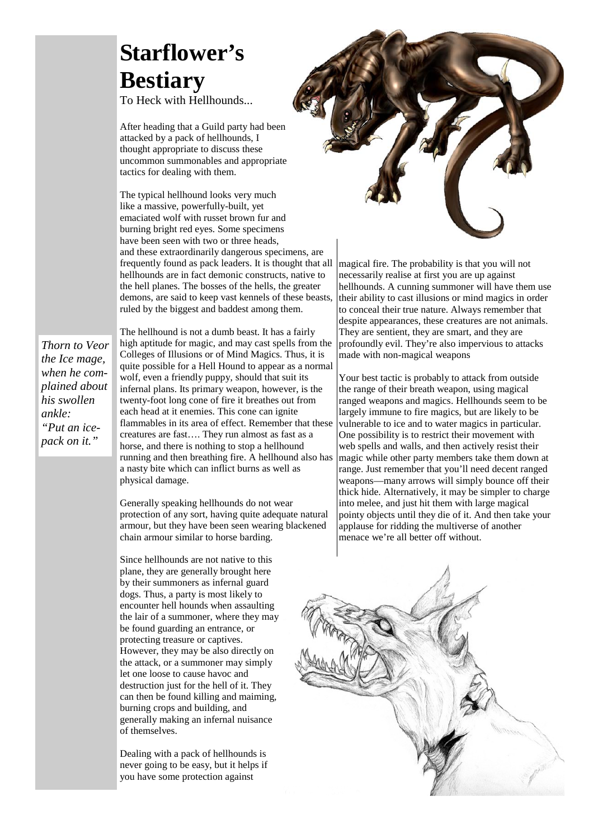# **Starflower's Bestiary**

To Heck with Hellhounds...

After heading that a Guild party had been attacked by a pack of hellhounds, I thought appropriate to discuss these uncommon summonables and appropriate tactics for dealing with them.

The typical hellhound looks very much like a massive, powerfully-built, yet emaciated wolf with russet brown fur and burning bright red eyes. Some specimens have been seen with two or three heads, and these extraordinarily dangerous specimens, are frequently found as pack leaders. It is thought that all hellhounds are in fact demonic constructs, native to the hell planes. The bosses of the hells, the greater demons, are said to keep vast kennels of these beasts, ruled by the biggest and baddest among them.

*Thorn to Veor the Ice mage, when he complained about his swollen ankle: "Put an icepack on it."*

The hellhound is not a dumb beast. It has a fairly high aptitude for magic, and may cast spells from the Colleges of Illusions or of Mind Magics. Thus, it is quite possible for a Hell Hound to appear as a normal wolf, even a friendly puppy, should that suit its infernal plans. Its primary weapon, however, is the twenty-foot long cone of fire it breathes out from each head at it enemies. This cone can ignite flammables in its area of effect. Remember that these creatures are fast…. They run almost as fast as a horse, and there is nothing to stop a hellhound running and then breathing fire. A hellhound also has a nasty bite which can inflict burns as well as physical damage.

Generally speaking hellhounds do not wear protection of any sort, having quite adequate natural armour, but they have been seen wearing blackened chain armour similar to horse barding.

Since hellhounds are not native to this plane, they are generally brought here by their summoners as infernal guard dogs. Thus, a party is most likely to encounter hell hounds when assaulting the lair of a summoner, where they may be found guarding an entrance, or protecting treasure or captives. However, they may be also directly on the attack, or a summoner may simply let one loose to cause havoc and destruction just for the hell of it. They can then be found killing and maiming, burning crops and building, and generally making an infernal nuisance of themselves.

Dealing with a pack of hellhounds is never going to be easy, but it helps if you have some protection against



magical fire. The probability is that you will not necessarily realise at first you are up against hellhounds. A cunning summoner will have them use their ability to cast illusions or mind magics in order to conceal their true nature. Always remember that despite appearances, these creatures are not animals. They are sentient, they are smart, and they are profoundly evil. They're also impervious to attacks made with non-magical weapons

Your best tactic is probably to attack from outside the range of their breath weapon, using magical ranged weapons and magics. Hellhounds seem to be largely immune to fire magics, but are likely to be vulnerable to ice and to water magics in particular. One possibility is to restrict their movement with web spells and walls, and then actively resist their magic while other party members take them down at range. Just remember that you'll need decent ranged weapons—many arrows will simply bounce off their thick hide. Alternatively, it may be simpler to charge into melee, and just hit them with large magical pointy objects until they die of it. And then take your applause for ridding the multiverse of another menace we're all better off without.

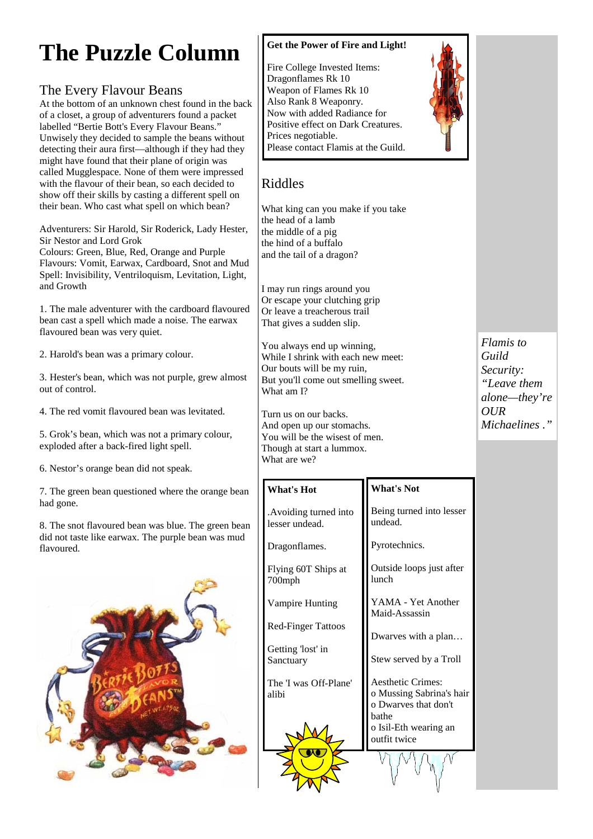# **The Puzzle Column**

## The Every Flavour Beans

At the bottom of an unknown chest found in the back of a closet, a group of adventurers found a packet labelled "Bertie Bott's Every Flavour Beans." Unwisely they decided to sample the beans without detecting their aura first—although if they had they might have found that their plane of origin was called Mugglespace. None of them were impressed with the flavour of their bean, so each decided to show off their skills by casting a different spell on their bean. Who cast what spell on which bean?

Adventurers: Sir Harold, Sir Roderick, Lady Hester, Sir Nestor and Lord Grok

Colours: Green, Blue, Red, Orange and Purple Flavours: Vomit, Earwax, Cardboard, Snot and Mud Spell: Invisibility, Ventriloquism, Levitation, Light, and Growth

1. The male adventurer with the cardboard flavoured bean cast a spell which made a noise. The earwax flavoured bean was very quiet.

2. Harold's bean was a primary colour.

3. Hester's bean, which was not purple, grew almost out of control.

4. The red vomit flavoured bean was levitated.

5. Grok's bean, which was not a primary colour, exploded after a back-fired light spell.

6. Nestor's orange bean did not speak.

7. The green bean questioned where the orange bean had gone.

8. The snot flavoured bean was blue. The green bean did not taste like earwax. The purple bean was mud flavoured.



## **Get the Power of Fire and Light!**

Fire College Invested Items: Dragonflames Rk 10 Weapon of Flames Rk 10 Also Rank 8 Weaponry. Now with added Radiance for Positive effect on Dark Creatures. Prices negotiable. Please contact Flamis at the Guild.



## Riddles

What king can you make if you take the head of a lamb the middle of a pig the hind of a buffalo and the tail of a dragon?

I may run rings around you Or escape your clutching grip Or leave a treacherous trail That gives a sudden slip.

You always end up winning, While I shrink with each new meet: Our bouts will be my ruin, But you'll come out smelling sweet. What am I?

Turn us on our backs. And open up our stomachs. You will be the wisest of men. Though at start a lummox. What are we?

**What's Hot** 

Dragonflames.

700mph

alibi

Flying 60T Ships at

Vampire Hunting

Red-Finger Tattoos

The 'I was Off-Plane'

Getting 'lost' in Sanctuary

.Avoiding turned into lesser undead.

## **What's Not**

Being turned into lesser undead.

Pyrotechnics.

Outside loops just after lunch

YAMA - Yet Another Maid-Assassin

Dwarves with a plan…

Stew served by a Troll

Aesthetic Crimes: o Mussing Sabrina's hair o Dwarves that don't bathe o Isil-Eth wearing an outfit twice

*Flamis to Guild Security: "Leave them alone—they're OUR Michaelines ."*